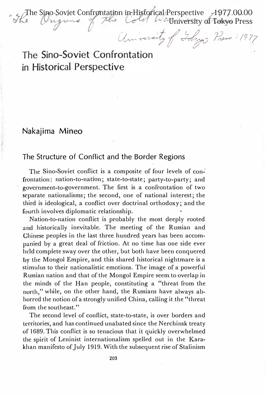The Sino-Soviet Confrontation in Historical Perspective 1977.00.00 University of Tokyo Press

Vinversity of Folyo Press : 1977 in Historical Perspective

# Nakajima Mineo

# The Structure of Conflict and the Border Regions

The Sino-Soviet conflict is a composite of four levels of confrontation: nation-to-nation; state-to-state; party-to-party; and government-to・government. The first is a confrontation of two separate nationalisms; the second, one of national interest; the third is ideological, a conflict over doctrinal orthodoxy; and the fourth involves diplomatic relationship. 、

Nation-to-nation conflict is probably the most deeply rooted and historically inevitable. The meeting of the Russian and Chinese peoples in the last three hundred years has been accompanied by a great deal of friction. At no time has one side ever held complete sway over the other, but both have been conquered by the Mongol Empire, and this shared historical nightmare is a stimulus to their nationalistic emotions. The image of a powerful Russian nation and that of the Mongol Empire seem to overlap in the minds of the Han people, constituting a "threat from the north,'' while, on the other hand, the Russians have always abhorrcd the notion of a strongly unified China, calling it the "threat from the southeast."

The second level of conflict, state-to-state, is over borders and territories, and has continued unabated since the Nerchinsk treaty of 1689. This conflict is so tenacious that it quickly overwhelmed the spirit of Leninist internationalism spelled out in the Karakhan manifesto of July 1919. With the subsequent rise of Stalinism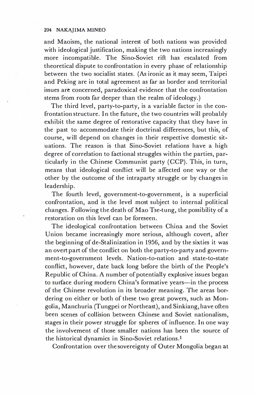and Maoism, the national interest of both nations was provided with ideological justification, making the two nations increasingly more incompatible. The Sino-Soviet rift has escalated from theoretical dispute to confrontation in every phase of relationship between the two socialist states. (As ironic as it may seem, Taipei and Peking are in total agreement as far as border and territorial issues are concerned, paradoxical evidence that the confrontation stems from roots far deeper than the realm of ideology.)

The third level, party-to-party, is a variable factor in the confrontation structure. In the future, the two countries will probably exhibit the same degree of restorative capacity that they have in the past to accommodate their doctrinal differences, but this, of course, will depend on changes in their respective domestic situations. The reason is that Sino-Soviet relations have a high degree of correlation to factional struggles within the parties, particularly in the Chinese Communist party (CCP). This, in turn, means that ideological conflict will be affected one way or the other by the outcome of the intraparty struggle or by changes in leadership.

The fourth level, government-to-government, is a superficial confrontation, and is the level most subject to internal political changes. Following the death of Mao Tse-tung, the possibility of a restoration on this level can be foreseen.

The ideological confrontation between China and the Soviet Union became increasingly more serious, although covert, after the beginning of de-Stalinization in 1956, and by the sixties it was an overt part of the conflict on both the party-to-party and government-to・government levels. Nation-to-nation and state-to-state conflict, however, date back long before the birth of the People's Republic of China. A number of potentially explosive issues began to surface during modern China's formative years-in the process of the Chinese revolution in its broader meaning. The areas bordering on either or both of these two great powers, such as Mongolia, Manchuria (Tungpei or Northeast), and Sinkiang, have often been scenes of collision between Chinese and Soviet nationalism, stages in their power struggle for spheres of influence. In one way the involvement of those smaller nations has been the source of the historical dynamics in Sino-Soviet relations.1

Confrontation over the sovereignty of Outer Mongolia began at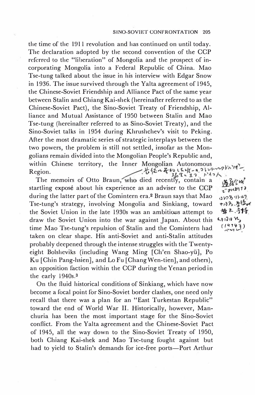the time of the 1911 revolution and has continued on until today. The declaration adopted by the second convention of the CCP referred to the "liberation" of Mongolia and the prospect of incorporating Mongolia into a Federal Republic of China. Mao Tse-tung talked about the issue in his interview with Edgar Snow in 1936. The issue survived through the Yalta agreement of 1945, the Chinese-Soviet Friendship and Alliance Pact of the same year between Stalin and Chiang Kai-shek (hereinafter referred to as the Chinese-Soviet Pact), the Sino-Soviet Treaty of Friendship, Alliance and Mutual Assistance of 1950 between Stalin and Mao Tse-tung (hereinafter referred to as Sino・Soviet Treaty), and the Sino・Soviet talks in 1954 during Khrushchev's visit to Peking. After the most dramatic series of strategic interplays between the two powers, the problem is still not settled, insofar as the Mongolians remain divided into the Mongolian People's Republic and, Region.<br>
Region.<br>
The memoirs of Otto Braun, who died recently, contain a **hadden**<br>
The memoirs of Otto Braun, who died recently, contain a hadden

startling expose about his experience as an adviser to the CCP  $\frac{1}{l}$   $\frac{1}{l}$   $\frac{1}{l}$ during the latter part of the Comintern era.<sup>2</sup> Braun says that Mao  $\frac{\partial V}{\partial \theta}$ <br>Tse-tung's strategy, involving Mongolia and Sinkiang, toward +13%. Tse-tung's strategy, involving Mongolia and Sinkiang, toward +134.5% the Soviet Union in the late 1930s was an ambitious attempt to 每<sup>去,</sup><br>draw the Soviet Union into the war against Iapan. About this draw the Soviet Union into the war against Japan. About this  $\binom{14747}{167}$ <br>time Mao Tse-tung's repulsion of Stalin and the Comintern had time Mao Tse-tung's repulsion of Stalin and the Comintern had taken on clear shape. His anti-Soviet and anti-Stalin attitudes probably deepened through the intense struggles with the Twentyeight Bolsheviks (including Wang Ming [Ch'en Shao-yü], Po Ku [Chin Pang-hsien], and Lo Fu [Chang Wen-tien ], and others), an opposition faction within the CCP during the Yenan period in the early 1940s.<sup>3</sup>

On the fluid historical conditions of Sinkiang, which have now become a focal point for Sino-Soviet border clashes, one need only recall that there was a plan for an "East Turkestan Republic" toward the end of World War II. Historically, however, Manchuria has been the most important stage for the Sino・Soviet conflict. From the Yalta agreement and the Chinese-Soviet Pact of 1945, all the way down to the Sino・Soviet Treaty of 1950, both Chiang Kai-shek and Mao Tse-tung fought against but had to yield to Stalin's demands for ice-free ports-Port Arthur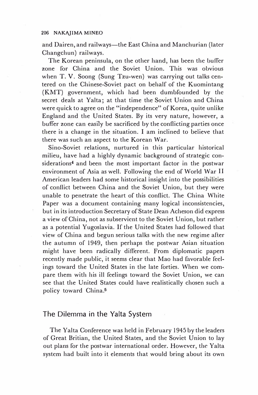and Dairen, and railways—the East China and Manchurian (later Changchun) railways.

The Korean peninsula, on the other hand, has been the buffer zone for China and the Soviet Union. This was obvious when T. V. Soong (Sung Tzu-wen) was carrying out talks centered on the Chinese-Soviet pact on behalf of the Kuomintang (KMT) government, which had been dumbfounded by the secret deals at Yalta; at that time the Soviet Union and China were quick to agree on the "independence"of Korea, quite unlike England and the United States. By its very nature, however, a buffer zone can easily be sacrificed by the conflicting parties once there is a change in the situation. I am inclined to believe that there was such an aspect to the Korean War.

Sino-Soviet relations, nurtured in this particular historical milieu, have had a highly dynamic background of strategic considerations4 and been the most important factor in the postwar environment of Asia as well. Following the end of World War II American leaders had some historical insight into the possibilities of conflict between China and the Soviet Union, but they were unable to penetrate the heart of this conflict. The China White Paper was a document containing many logical inconsistencies, but in its introduction Secretary of State Dean Acheson did express a view of China, not as subservient to the Soviet Union, but rather as a potential Yugoslavia. If the United States had followed that view of China and begun serious talks with the new regime after the autumn of 1949, then perhaps the postwar Asian situation might have been radically different. From diplomatic papers recently made public, it seems clear that Mao had favorable feelings toward the United States in the late forties. When we compare them with his ill feelings toward the Soviet Union, we can see that the United States could have realistically chosen such a policy toward China.5

# The Dilemma in the Yalta System

The Yalta Conference was held in February 1945 by the leaders of Great Britian, the United States, and the Soviet Union to lay out plans for the postwar international order. However, the Yalta system had built into it elements that would bring about its own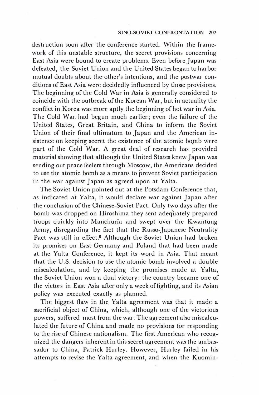destruction soon after the conference started. Within the framework of this unstable structure, the secret provisions concerning East Asia were bound to create problems. Even before Japan was defeated, the Soviet Union and the United States began to harbor mutual doubts about the other's intentions, and the postwar conditions of East Asia were decidedly influenced by those provisions. The beginning of the Cold War in Asia is generally considered to coincide with the outbreak of the Korean War, but in actuality the conflict in Korea was more aptly the beginning of hot war in Asia. The Cold War. had begun much earlier; even the failure of the United States, Great Britain, and China to inform the Soviet Union of their final ultimatum to Japan and the American insistence on keeping secret the existence of the atomic bomb were part of the Cold War. A great deal of research has provided material showing that although the United States knew Japan was sending out peace feelers through Moscow, the Americans decided to use the atomic bomb as a means to prevent Soviet participation in the war against Japan as agreed upon at Yalta.

The Soviet Union pointed out at the Potsdam Conference that, as indicated at Yalta, it would declare war against Japan after the conclusion of the Chinese-Soviet Pact. Only two days after the bomb was dropped on Hiroshima they sent adequately prepared troops quickly into Manchuria and swept over the Kwantung Army, disregarding the fact that the Russo-Japanese Neutrality Pact was still in effect.<sup>6</sup> Although the Soviet Union had broken its promises on East Germany and Poland that had been made at the Yalta Conference, it kept its word in Asia. That meant that the U.S. decision to use the atomic bomb involved a double miscalculation, and by keeping the promises made at Yalta, the Soviet Union won a dual victory: the country became one of the victors in East Asia after only a week of fighting, and its Asian policy was executed exactly as planned.

The biggest flaw in the Yalta agreement was that it made a sacrificial object of China, which, although one of the victorious powers, suffered most from the war. The agreement also miscalculated the future of China and made no provisions for responding to the rise of Chinese nationalism. The first American who recognized the dangers inherent in this secret agreement was the ambassador to China, Patrick Hurley. However, Hurley failed in his attempts to revise the Yalta agreement, and when the Kuomin-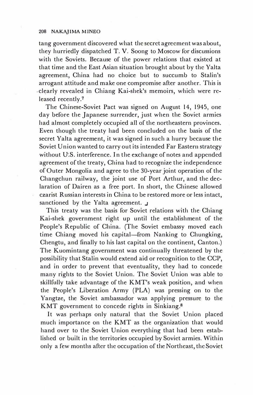tang government discovered what the secret agreement was about, they hurriedly dispatched T. V. Soong to Moscow for discussions with the Soviets. Because of the power relations that existed at that time and the East Asian situation brought about by the Yalta agreement, China had no choice but to succumb to Stalin's arrogant attitude and make one compromise after another. This is . clearly revealed in Chiang Kai-shek's memoirs, which were re・ leased recently.7

The Chinese-Soviet Pact was signed on August 14, 1945, one day before the Japanese surrender, just when the Soviet armies had almost completely occupied all of the northeastern provinces. Even though the treaty had been concluded on the basis of the secret Yalta agreement, it was signed in such a hurry because the Soviet Union wanted to carry out its intended Far Eastern strategy without U.S. interference. In the exchange of notes and appended agreement of the treaty, China had to recognize the independence of Outer Mongolia and agree to the 30・year joint operation of the Changchun railway, the joint use of Port Arthur, and the declaration of Dairen as a free port. In short, the Chinese allowed czarist Russian interests in China to be restored more or less intact, sanctioned by the Yalta agreement. **J** 

This treaty was the basis for Soviet relations with the Chiang Kai-shek government right up until the establishment of the People's Republic of China. (The Soviet embassy moved each time Chiang moved his capital-from Nanking to Chungking, Chengtu, and finally to his last capital on the continent, Canton.) The Kuomintang government was continually threatened by the possibility that Stalin would extend aid or recognition to the CCP, and in order to prevent that eventuality, they had to concede many rights to the Soviet Union. The Soviet Union was able to skillfully take advantage of the KMT's weak position, and when the People's Liberation Army (PLA) was pressing on to the Yangtze, the Soviet ambassador was applying pressure to the KMT government to concede rights in Sinkiang.<sup>8</sup>

It was perhaps only natural that the Soviet Union placed much importance on the KMT as the organization that would hand over to the Soviet Union everything that had been established or built in the territories occupied by Soviet armies. Within only a few months after the occupation of the Northeast, the Soviet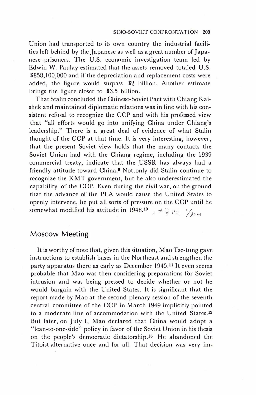Union had transported to its own country the industrial facilities left behind by the Japanese as well as a great number of Japanese prisoners. The U.S. economic investigation team led by Edwin W. Paulay estimated that the assets removed totaled U.S. \$858,100,000 and if the depreciation and replacement costs were added, the figure would surpass \$2 billion. Another estimate brings the figure closer to \$3.5 billion.

That Stalin concluded the Chinese-Soviet Pact with Chiang Kaishek and maintained diplomatic relations was in line with his consistent refusal to recognize the CCP and with his professed view that "all efforts would go into unifying China under Chiang's leadership." There is a great deal of evidence of what Stalin thought of the CCP at that time. It is very interesting, however, that the present Soviet view holds that the many contacts the Soviet Union had with the Chiang regime, including the 1939 commercial treaty, indicate that the USSR has always had a friendly attitude toward China.9 Not.only did Stalin continue to recognize the KMT government, but he also underestimated the capability of the CCP. Even during the civil war, on the ground that the advance of the PLA would cause the United States to openly intervene, he put all sorts of pressure on the CCP until he somewhat modified his attitude in 1948.<sup>10</sup>  $\frac{1}{2}$  +  $\frac{1}{8}$  Pz.  $\frac{1}{2}$ 

# Moscow Meeting

It is worthy of note that, given this situation, Mao Tse-tung gave instructions to establish bases in the Northeast and strengthen the party apparatus there as early as December 1945. 11 It even seems �robable that Mao was then considering preparations for Soviet intrusion and was being pressed to decide whether or not he would bargain with the United States. It is significant that the report made by Mao at the second plenary session of the seventh central committee of the CCP in March 1949 implicitly pointed to a moderate line of accommodation with the United States.12 But later, on July 1, Mao declared that China would adopt a "lean-to-one-side" policy in favor of the Soviet Union in his thesis on the people's democratic dictatorship.<sup>13</sup> He abandoned the Titoist alternative once and for all. That decision was very im-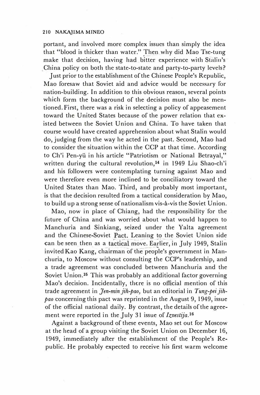portant, and involved more complex issues than simply the idea that "blood is thicker than water." Then why did Mao Tse-tung make that decision, having had bitter experience with Stalin's China policy on both the state-to-state and party-to-party levels?

Just prior to the establishment of the Chinese People's Republic, Mao foresaw that Soviet aid and advice would be necessary for nation-building. In addition to this obvious reason, several points which form the background of the decision must also be mentioned. First, there was a risk in selecting a policy of appeasement toward the United States because of the power relation that existed between the Soviet Union and China. To have taken that course would have created apprehension about what Stalin would do, judging from the way he acted in the past. Second, Mao had to consider the situation within the CCP at that time. According to Ch'i Pen-yü in his article "Patriotism or National Betrayal," written during the cultural revolution,<sup>14</sup> in 1949 Liu Shao-ch'i and his followers were contemplating turning against Mao and were therefore even more inclined to be conciliatory toward the United States than Mao. Third, and probably most important, is that the decision resulted from a tactical consideration by Mao, to build up a strong sense of nationalism vis-a-vis the Soviet Union.

Mao, now in place of Chiang, had the responsibility· for the future of China and was worried about what would happen to Manchuria and Sinkiang, seized under the Yalta agreement and the Chinese-Soviet Pact. Leaning to the Soviet Union side can be seen then as a tactical move. Earlier, in July 1949, Stalin invited Kao Kang, chairman of the people's government in Manchuria, to Moscow without consulting the CCP's leadership, and a trade agreement was concluded between Manchuria and the Soviet Union.15 This was probably an additional factor governing Mao's decision. Incidentally, there is no official mention of this trade agreement in  $Jen-min$  jih-pao, but an editorial in Tung-pei jihpao concerning this pact was reprinted in the August 9, 1949, issue of the official national daily. By contrast, the details of the agreement were reported in the July 31 issue of Izvestija.<sup>16</sup>

Against a background of these events, Mao set out for Moscow at the head of a group visiting the Soviet Union on December 16, 1949, immediately after the establishment of the People's Republic. He probably expected to receive his first warm welcome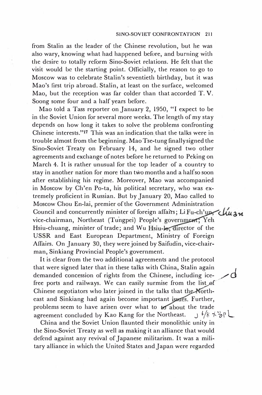from Stalin as the leader of the Chinese revolution, but he was also wary, knowing what had happened before, and burning with the desire to totally reform Sino-Soviet relations. He felt that the visit would be the starting point. Officially, the reason to go to Moscow was to celebrate Stalin's seventieth birthday, but it was Mao's first trip abroad. Stalin, at least on the surface, welcomed Mao, but the reception was far colder than that accorded T. V. Soong some four and a half years before.

Mao told a Tass reporter on January 2, 1950,"I expect to be in the Soviet Union for several more weeks. The length of my stay depends on how long it takes to solve the problems confronting Chinese interests."17 This was an indication that the talks were in trouble almost from the beginning. Mao Tse-tung finally signed the Sino-Soviet Treaty on February 14, and he signed two other agreements and exchange of notes before he returned to Peking on March 4. It is rather unusual for the top leader of a country to stay in another nation for more than two months and a half so soon after establishing his regime. Moreover, Mao was accompanied in Moscow by Ch'en Po-ta, his political secretary, who was extremely proficient in Russian. But by January 20, Mao called to Moscow Chou En-lai, premier of the Government Administration .. Council and concurrently minister of foreign affairs; Li Fu-ch  $\mu$ , Chu  $\lambda u$ vice-chairman, Northeast (Tungpei) People's government; Yeh Hsiu-chuang, minister of trade; and Wu Hsiu-le, director of the USSR and East European Department, Ministry of Foreign Affairs. On January 30, they were joined by Saifudin, vice-chairman, Sinkiang Provincial People's government.

It is clear from the two additional agreements and the protocol that were signed later that in these talks with China, Stalin again / demanded concession of rights from the Chinese, including ice-  $\sim$ free ports and railways. We can easily surmise from the list of Chinese negotiators who later joined in the talks that the Northeast and Sinkiang had again become important issues. Further, problems seem to have arisen over what to  $\omega$  about the trade<br>agreement concluded by Kao Kang for the Northeast. agreement concluded by Kao Kang for the Northeast.

China and the Soviet Union flaunted their monolithic unity in the Sino・Soviet Treaty as well as making it an alliance that would defend against any revival of Japanese militarism. It was a military alliance in which the United States and Japan were regarded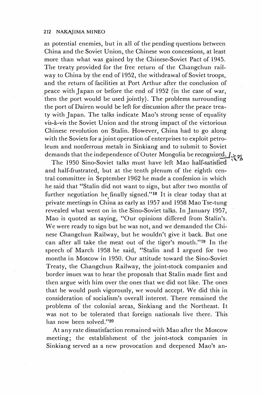as potential enemies, but in all of the pending questions between China and the Soviet Union, the Chinese won concessions, at least more than what was gained by the Chinese-Soviet Pact of 1945. The treaty provided for the free return of the Changchun railway to China by the end of 1952, the withdrawal of Soviet troops, and the return of facilities at Port Arthur after the conclusion of peace with Japan or before the end of 1952 (in the case of war, then the port would be used jointly). The problems surrounding the port of Dairen would be left for discussion after the peace treaty with Japan. The talks indicate Mao's strong sense of equality vis-a-vis the Soviet Union and the strong impact of the victorious Chinese revolution on Stalin. However, China had to go along with the Soviets for a joint operation of enterprises to exploit petroleum and nonferrous metals in Sinkiang and to submit to Soviet demands that the independence of Outer Mongolia be recognized.

The 1950 Sino・Soviet talks must have left Mao half-satisfied and half-frustrated, but at the tenth plenum of the eighth central committee in September 1962 he made a confession in which he said that "Stalin did not want to sign, but after two months of further negotiation he finally signed."18 It is clear today that at private meetings in China as early as 1957 and 1958 Mao Tse-tung revealed what went on in the Sino-Soviet talks. In January 1957, Mao is quoted as saying, "Our opinions differed from Stalin's. We were ready to sign but he was not, and we demanded the Chinese Changchun Railway, but he wouldn't give it back. But one can after all take the meat out of the tiger's mouth."19 In the speech of March 1958 he said, "Stalin and I argued for two months in Moscow in 1950. Our attitude toward the Sino・Soviet Treaty, the Changchun Railway, the joint-stock companies and border issues was to hear the proposals that Stalin made first and then argue with him over the ones that we did not like. The ones that he would push vigorously, we would accept. We did this in consideration of socialism's overall interest. There remained the problems of the colonial areas, Sinkiang and the Northeast. It was not to be tolerated that foreign nationals live there. This has now been solved."20

At any rate dissatisfaction remained with Mao after the Moscow meeting; the establishment of the joint-stock companies in Sinkiang served as a new provocation and deepened Mao's an-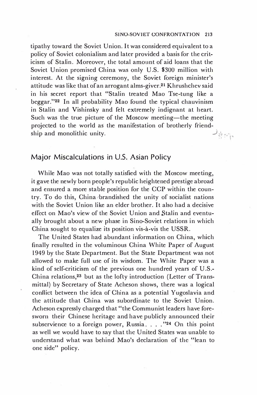tipathy toward the Soviet Union. It was considered equivalent to a policy of Soviet colonialism and later provided a basis for the criticism of Stalin. Moreover, the total amount of aid loans that the Soviet Union promised China was only U.S. \$300 million with interest. At the signing ceremony, the Soviet foreign minister's attitude was like that of an arrogant alms-giver.21 Khrushchev said in his secret report that "Stalin treated Mao Tse-tung like a beggar."22 In all probability Mao found the typical chauvinism in Stalin and Vishinsky and felt extremely indignant at heart. Such was the true picture of the Moscow meeting-the meeting projected to the world as the manifestation of brotherly friend-<br>ship and monolithic unity. ship and monolithic unity.

# Major Miscalculations in U.S. Asian Policy

While Mao was not totally satisfied with the Moscow meeting, it gave the newly born people's republic heightened prestige abroad and ensured a more stable position for the CCP within the country. To do this, China brandished the unity of socialist nations with the Soviet Union like an elder brother. It also had a decisive effect on Mao's view of the Soviet Union and Stalin and eventually brought about a new phase in Sino-Soviet relations in which China sought to equalize its position vis-à-vis the USSR.

The United States had abundant information on China, which finally resulted in the voluminous China White Paper of August 1949 by the State Department. But the State Department was not allowed to make full use of its wisdom. The White Paper was a kind of self-criticism of the previous one hundred years of U.S.-China relations,23 but as the lofty introduction (Letter of Transmittal) by Secretary of State Acheson shows, there was a logical conflict between the idea of China as a potential Yugoslavia and the attitude that China was subordinate to the Soviet Union. Acheson expressly charged that "the Communist leaders have foresworn their Chinese heritage and have publicly announced their subservience to a foreign power, Russia. . . . "24 On this point as well we would have to say that the United States was unable to understand what was behind Mao's declaration of the "lean to one side" policy.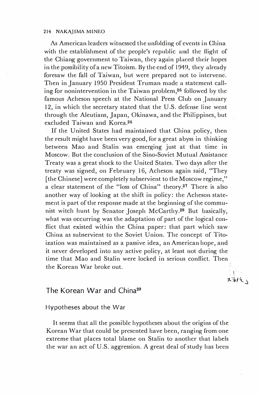# 214 NAKヘJfMA MINEO

As American leaders witnessed the unfolding of events in China with the establishment of the people's republic and the flight of the Chiang government to Taiwan, they again placed their hopes in the possibility of a new Titoism. By the end of 1949, they already foresaw the fall of Taiwan, but were prepared not to intervene. Then in January 1950 President Truman made a statement calling for nonintervention in the Taiwan problem,<sup>25</sup> followed by the famous Acheson speech at the National Press Club on January 12, in which the secretary stated that the U.S. defense line went through the Aleutians, Japan, Okinawa, and the Philippines, but excluded Taiwan and Korea.26

Ir the United States had maintained that China policy, then the result might have been very good, for a great a byss in thinking between Mao and Stalin was emerging just at that time in Moscow. But the conclusion of the Sino・Soviet Mutual Assistance Treaty was a great shock to the United States. Two days after the treaty was signed, on February 16, Acheson again said, "They [the Chinese] were completely subservient to the Moscow regime," a clear statement of the"loss of China" theory.27 There is also another way of looking at the shift in policy: the Acheson statement is part of the response made at the beginning of the communist witch hunt by Senator Joseph McCarthy.<sup>28</sup> But basically, what was occurring was the adaptation of part of the logical conflict that existed within the China paper: that part which saw China as subservient to the Soviet Union. The concept of Titoization was maintained as a passive idea, an American hope, and it never developed into any active policy, at least not during the time that Mao and Stalin were locked in serious conflict. Then the Korean War broke out.

# The Korean War and China<sup>29</sup>

### Hypotheses about the War

It seems that all the possible hypotheses about the origins of the Korean War that could be presented have been, ranging from one extreme that places total blame on Stalin to another that labels the war an act of U.S. aggression. A great deal of study has been

スミノミ 、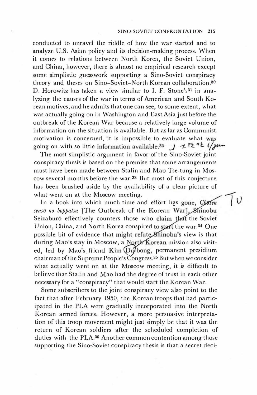conducted to unravel the riddle of how the war started and to analyze U.S. Asian policy and its decision-making process. When it comes lo relations between North Korea, the Soviet Union, and China, however, there is almost no empirical research except some simplistic guesswork supporting a Sino-Soviet conspiracy theory and theses on Sino-Soviet-North Korean collaboration.<sup>30</sup> D. Horowitz has taken a view similar to I. F. Stone's<sup>31</sup> in analyzing the causcs of the war in terms of American and South Korean motives, and he admits that one can see, to some extent, what was actually going on in Washington and East Asia just before the outbreak of the Korean War because a relatively large volume of information on the situation is available. But as far as Communist motivation is concerned, it is impossible to evaluate what was going on with so little information available.<sup>32</sup>  $1 + 72$  <sup>o</sup>  $\frac{1}{2}$ 

The most simplistic argument in favor of the Sino-Soviet joint conspiracy thesis is based on the premise that some arrangements must have been made between Stalin and Mao Tse-tung in Moscow several months before the war.<sup>33</sup> But most of this conjecture has been brushed aside by the ayailability of a clear picture of what went on at the Moscow meeting.

In a book into which much time and effort has gone, Chosen senso no boppatsu [The Outbreak of the Korean War], Shinobu Seizaburō effectively counters those who claim that the Soviet Union, China, and North Korea conspired to start the war.<sup>34</sup> One possible bit of evidence that might refute Shinobu's view is that during Mao's stay in Moscow, a North Korean mission also visited, led by Mao's friend Kim Dubong, permanent presidium chairman of the Supreme People's Congress.35 But when we Cοnsider what actually went on at the Moscow meeting, it is difficult to believe that Stalin and Mao had the degree of trust in each other necessary for a "conspiracy" that would start the Korean War.

Some subscribers to the joint conspiracy view also point to the fact that after February 1950, the Korean troops that had participated in the PLA were gradually incorporated into the North Korean armed forces. However, a more persuasive interpreta・ tion of this troop movement might just simply be that it was the return of Korean soldiers after the scheduled completion of duties with the PLA.36 Another common contention among those supporting the Sino-Soviet conspiracy thesis is that a secret deci-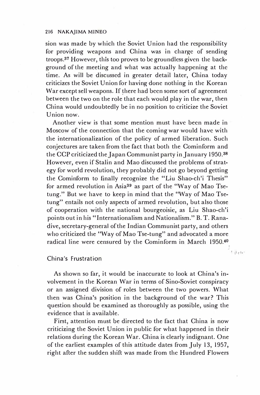sion was made by which the Soviet Union had the responsibility for providing weapons and China was in charge of sending troops.37 However, this too proves to be groundless given the background of the meeting and what was actually happening at the time. As will be discussed in greater detail later, China today criticizes the Soviet Union for having done nothing in the Korean War except sell weapons. If there had been some sort of agreement between the two on the role that each would play in the war, then China would undoubtedly be in no position to criticize the Soviet Union now.

Another view is that some mention must have been made in Moscow of the connection that the coming war would have with the internationalization of the policy of armed liberation. Such conjectures are taken from the fact that both the Cominform and the CCP criticized the Japan Communist party in January 1950.38 However, even if Stalin and Mao discussed the problems of strategy for world revolution, they probably did not go beyond getting the Cominform to finally recognize the "Liu Shao-ch'i Thesis" for armed revolution in Asia39 as part of the "Way of Mao Tsetung." But we have to keep in mind that the "Way of Mao Tsetung" entails not only aspects of armed revolution, but also those of cooperation with the national bourgeoisie, as Liu Shao-ch'i points out in his " Internationalism and Nationalism." B. T. Ranadive, secretary-general of the Indian Communist party, and others who criticized the "Way of Mao Tse-tung" and advocated a more radical line were censured by the Cominform in March 195Q.40

# China's Frustration

As shown so far, it would be inaccurate to look at China's in・ volvement in the Korean War in terms of Sino・Soviet conspiracy or an assigned division of roles between the two powers. What then was China's position in the background of the war? This question should be examined as thoroughly as possible, using the evidence that is available.

 $f \#_{\mathcal{C}} f_*$ 

First, attention must be directed to the fact that China is now criticizing the Soviet Union in public for what happened in their relations during the Korean War. China is clearly indignant. One of the earliest examples of this attitude dates from July 13, 1957, right after the sudden shift was made from the Hundred Flowers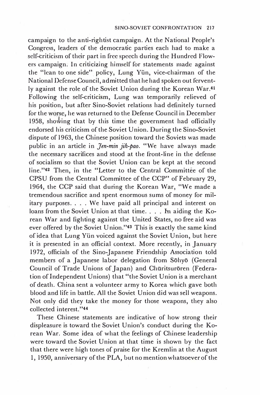campaign to the anti-rightist campaign. At the National People's Congress, leaders of the democratic parties each had to make a self-criticism of their part in free speech during the Hundred Flowers campaign. In criticizing himself for statements made against the "lean to one side" policy, Lung Yün, vice-chairman of the National Defense Council, admitted that he had spoken out fervently against the role of the Soviet Union during the Korean War.41 Following the self-criticism, Lung was temporarily relieved of his position, but after Sino-Soviet relations had definitely turned for the worse. he was returned to the Defense Council in December 1958, showing that by this time the government had officially endorsed his criticism of the Soviet Union. During the Sino-Soviet dispute of 1963, the Chinese position toward the Soviets was made public in an article in *Jen-min jih-pao*. "We have always made the necessary sacrifices and stood at the front-line in the defense of socialism so that the Soviet Union can be kept at the second line."42 Then, in the "Letter to the Central Committee of the CPS U from the Central Committee of the CCP" of February 29, 1964, the CCP said that during the Korean War, "We made a tremendous sacrifice and spent enormous sums of money for military purposes. . . . We have paid all principal and interest on loans from the Soviet Union at that time. . . . In aiding the Korean War and fighting against the United States, no free aid was ever offered by the Soviet Union."43 This is exactly the same kind of idea that Lung Yiin voiced against the Soviet Union, but here it is presented in an official context. More recently, in January 1972, officials of the Sino-Japanese Friendship Association told members of a Japanese labor delegation from Sōhyō (General Council of Trade Unions of Japan) and Charitsurδren (Federation of Independent Unions) that "the Soviet Union is a merchant of death. China sent a volunteer army to Korea which gave both blood and life in battle. All the Soviet Union did was sell weapons. Not only did they take the money for those weapons, they also collected interest."44

These Chinese statements are indicative of how strong their displeasure is toward the Soviet Union's conduct during the Korean War. Some idea of what the feelings of Chinese leadership were toward the Soviet Union at that time is shown by the fact that there were high tones of praise for the Kremlin at the August I, 1950, anniversary of the PLA, but no mention whatsoever of the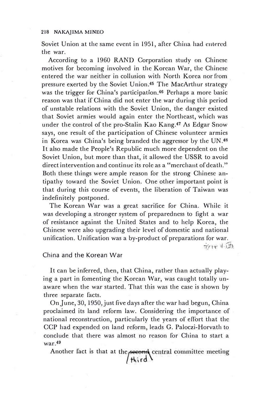Soviet Union at the same event in 1951, after China had entered the war.

According to a 1960 RAND Corporation study on Chinese motives for becoming involved in the Korean War, the Chinese entered the war neither in collusion with North Korea nor from pressure exerted by the Soviet Union.<sup>45</sup> The MacArthur strategy was the trigger for China's participation.<sup>46</sup> Perhaps a more basic reason was that if China did not enter the war during this period of unstable relations with the Soviet Union, the danger existed that Soviet armies would again enter the Northeast, which was under the control of the pro-Stalin Kao Kang.47 As Edgar Snow says, one result of the participation of Chinese volunteer armies in Korea was China's being branded the aggressor by the UN.<sup>48</sup> It also made the People's Republic much more dependent on the Soviet Union, but more than that, it allowed the USSR to avoid direct intervention and continue its role as a "merchant of death." Both these things were ample reason for the strong Chinese antipathy toward the Soviet Union. One other important point is that during this course of events, the liberation of Taiwan was indefinitely postponed.

The Korean War was a great sacrifice for China. While it was developing a stronger system of preparedness to fight a war of resistance against the United States and to help Korea, the Chinese were also upgrading their level of domestic and national unification. Unification was a by-product of preparations for war.

六、

# China and the Korean War

It can be inferred, then, that China, rather than actually playing a part in fomenting the Korean War, was caught totally unaware when the war started. That this was the case is shown by three separate facts.

On June, 30, 1950, just five days after the war had begun, China proclaimed its land reform law. Considering the importance of national reconstruction, particularly the years of effort that the CCP had expended on land reform, leads G. Paloczi-Horvath to conclude that there was almost no reason for China to start a war.49

Another fact is that at the **second** central committee meeting  $Hifdd$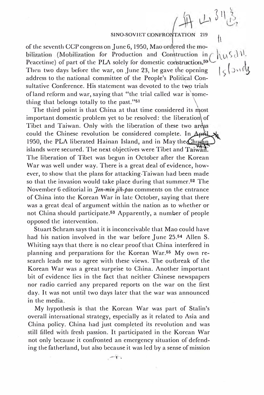一年山311

husan.

of the seventh CCP congress on June 6, 1950, Mao ordered the mobilization (Mobilization for Production and Construction in Peacetime) of part of the PLA solely for domestic construction.<sup>50</sup> Figure 1.1 Then two days before the war, on June 23, he gave the opening Then two days before the war, on June 23, he gave the opening address to the national committee of the People's Political Consultative Conference. His statement was devoted to the two trials of land reform and war, saying that "the trial called war is something that belongs totally to the past."<sup>51</sup>

The third point is that China at that time considered its 向ost important domestic problem yet to be resolved: the liberation\ of Tibet and Taiwan. Only with the liberation of these two areas could the Chinese revolution be considered complete. In April 1950, the PLA liberated Hainan Island, and in May the Chusan islands were secured. The next objectives were Tibet and Taiwan. The liberation of Tibet was begun in October after the Korean War was well under way. There is a great deal of evidence, however, to show that the plans for attacking.Taiwan had been made so that the invasion would take place during that summer.<sup>52</sup> The November 6 editorial in Jen-min jih-pao comments on the entrance of China into the Korean War in late October, saying that there was a great deal of argument within the nation as to whether or not China should participate.53 Apparently, a number of people opposed the intervention.

Stuart Schram says that it is inconceivable that Mao could have had his nation involved in the war before June 25.54 Allen S. Whiting says that there is no clear proof that China interfered in planning and preparations for the Korean War.55 My own research leads me to agree with these views. The outbreak of the Korean War was a great surprise to China. Another important bit of evidence lies in the fact that neither Chinese newspapers nor radio carried any prepared reports on the war on the first day. It was not untjl two days later that the war was announced in the media.

My hypothesis is that the Korean War was part of Stalin's overall international strategy, especially as it related to Asia and China policy. China had just completed its revolution and was still filled with fresh passion. It participated in the Korean War not only because it confronted an emergency situation of defending the fatherland, but also because it was led by a sense of mission

 $-\tau$ .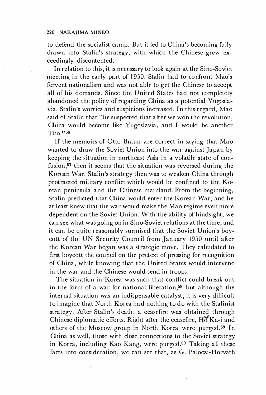to defend the socialist camp. But it led to China's becoming fully drawn into Stalin's strategy, with which the Chinese grew exceedingly discontented.

In relation to this, it is necessary to look again at the Sino-Soviet meeting in the early part of 1950. Stalin had to confront Mao's fervent nationalism and was not able to get the Chinese to accept all of his demands. Since the United States had not eompletely abandoned the policy of regarding China as a potential Yugoslavia, Stalin's worries and suspicions increased. In this regard, Mao said of Stalin that "he suspected that after we won the revolution, China would become like Yugoslavia, and I would be another  $T$ ito."  $56$ 

If the memoirs of Otto Braun are correct in saying that Mao wanted to draw the Soviet Union into the war against Japan by keeping the situation in northeast Asia in a volatile state of confusion,57 then it seems that the situation was reversed during the Korean War. Stalin's strategy then was to weaken China through protracted military conflict which would be confined to the Korean peninsula and the Chinese mainland. From the beginning, Stalin predicted that China would enter the Korean War, and he at least knew that the war would make the Mao regime even more dependent on the Soviet Union. With the ability of hindsight, we can see what was going on in Sino・Soviet relations at the time, and it can be quite reasonably surmised that the Soviet Union's boycott of the UN Security Council from January 1950 until after the Korean War began was a strategic move. They calculated to first boycott the council on the pretext of pressing for recognition of China, while knowing that the United States would intervene in the war and the Chinese would send in troops.

The situation in Korea was such that conflict could break out in the form of a war for national liberation,58 but although the internal situation was an indispensable catalyst, it is very difficult to imagine that North Korea had nothing to do with the Stalinist strategy. After Stalin's death, a ceasefire was obtained through Chinese diplomatic efforts. Right after the ceasefire, Ho Ka-i and others of the Moscow group in North Korea were purged.59 In China as well, those with close connections to the Soviet strategy in Korea, including Kao Kang, were purged.<sup>60</sup> Taking all these facts into consideration, we can see that, as G. Paloczi-Horvath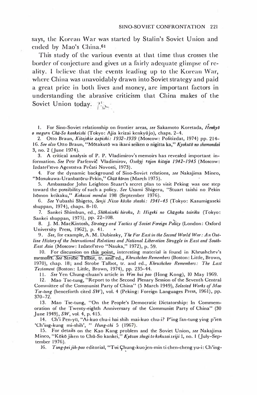says, the Korean War was started by Stalin's Soviet Union and ended by Mao's China.<sup>61</sup>

This study of the various events at that time thus crosses the border of conjecture and gives us a fairly adequate glimpse of reality. I believe that the events leading up to the Korean War, where China was unavoidably drawn into Soviet strategy and paid a great price in both lives and money, are important factors in understanding the abrasive criticism that China makes of the Soviet Union today.  $\mathcal{F}_{\mathcal{Q}}$ 

1. For Sino-Soviet relationship on frontier areas, see Sakamoto Koretada, Henkyō o megutu Chū-So kankeishi (Tokyo: Ajia kcizai kcnkyūjo), chaps. 2-4.

2. Otto Braun, Kitajskie zapiski: 1932-1939 (Moscow: Politizdat, 1974) pp. 214-16. See also Otto Braun, "Mōtakutō wa ikani seiken o nigitta ka," Kyokutō no shomondai 3, no. 2 (June 1974).

3. A critical analysis of P. P. Vladimirov's memoirs has revealed important information. See Petr Parfenvic Vladimirov, Osobyj rajon kitaja 1942-1945 (Moscow: Izdatel'stvo Agentstva Pečati Novosti, 1973).

4. For the dynamic background of Sino-Soviet relations, see Nakajima Minco, "Mosukuwa-Uranbatōru-Pekin," Chūō kōron (March 1975).

5. Ambassador .John Leighton Stuart'S secret plan to visit Peking was one step toward the possibility of such a policy. See Usami Shigeru, "Stuart taishi no Pekin hōmon kcikaku," Kokusai mondai 198 (September 1976).

G. See Yubashi Shigeto, Senji Nisso kosho shoshi: 1941-45 (Tokyo: Kasumigaseki shuppan, 1974), chaps. 8-10.

7. Sankei Shimbun, ed., Shōkaiseki hiroku, I: Higeki no Chūgoku tairiku (Tokyo: Sankci shuppan, 1975), pp. 22-108.

8. J. M. MacKintosh, Strategy and Tactics of Soviet Foreign Policy (London: Oxford University Press, 1962), p. 41.

9. See, for example,  $\Lambda$ . M. Dubinsky, The Far East in the Second World War: An Outline History of the International Relations and National Liberation Struggle in East and South-East Asia (Moscow: Izdateľstvo "Nauka," 1972), p. 59.

10. For discussion on this point, interesting material is found in Khrushchev's memoffs. See Strobe Talbot, tr. and ed., Khrushchev Remembers (Boston: Little, Brown, 1970), chap. 18; and Strobe Talbot, tr. and ed., Khrushchev Remembers: The Last Testament (Boston: Little, Brown, 1974), pp. 235-44.

11. See Yen Chung-chuan's article in Wen hui pao (Hong Kong), 10 May 1969.

12. Mao Tse-tung, "Report to the Second Plenary Session of the Seventh Central Committee of the Communist Party of China" (5 March 1949), Selected Works of Mao Tse-tung (henceforth cited SW), vol. 4 (Peking: Foreign Languages Press, 1961), pp. 370-72.

13. Mao Tse-tung, "On the People's Democratic Dictatorship: In Commemoration of the Twenty-eighth Anniversary of the Communist Party of China" (30 June 1949), SW, vol. 4, p. 415.

1 4. Ch'i Pen-yli, ''Ai-kuo chu-i hai shih mai-kuo chu-i? P'ing fan-tung ying p'icn 'Ch'ing-kung mi-shih', " Hung-chi 5 (1967).

15. For details on the Kao Kang problem and the Soviet Union, see Nakajima Minco, "Kōkō jiken to Chū-So kankci," Kyōsan shugi to kokusai seiji 1, no. 1 (July-September 1976).

JG. Tung-peijih-pao editorial, "Tui 9hung-kuojen-min ti chen-cheng yu・i : Ch'ing-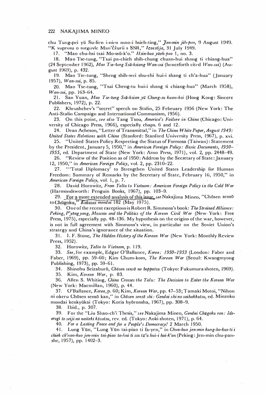chu Tung-pci yü Su-lien i-nien mao-i hsich-ting," Jen-min jih-pao, 9 August 1949. "K voprosu o torgovle Man'čžurii s SSR," Izvestija, 31 July 1949.

17. "Mao chu-hsi tsai Mo-ssŭ-k'o." Hsin-hua yüeh-pao 1, no. 3.

18. Mao Tse-tung, "Tsai pa-chieh shih-chung chuan-hui shang ti chiang-hua" (24 September 1962), Mao Tse-tung Ssu-hsiang Wan-sui (henceforth cited Wan-sui) (August 1969), p. 432.

19. Mao Tse-tung, "Sheng shih-wei shu-chi hui-i shang ti ch'a-hua" (January 1957), *Wan-sui*, p. 85.

20. Mao Tse-tung, "Tsai Cheng-tu hui-i shang ti chiang-hua" (March 1958), Wan-sui, pp. 163-64.

21. San Yuan, Mao Tse-tung Ssū-hsian yü Chung-su kuan-hsi (Hong Kong: Sincere Publishers, 1972), p. 22.

22. Khrushchev's "secret" speech on Stalin, 25 February 1956 (New York: The Anti-Stalin Campaign and International Communism, 1956).

23. On this point, see also Tang Tsou, America's Failure in China (Chicago: University of Chicago Press, 1966), especially chaps. 6 and 12.

24. Dean Acheson, "Letter of Transmittal," in The China White Paper, August 1949: United States Relations with China (Stanford: Stanford University Press, 1967), p. xvi.

25. "United States Policy Respecting the Status of Formosa (Taiwan) : Statement by the President, January 5, 1950," in American Foreign Policy: Basic Documents, 1950-1955, ed. Department of State (New York: Arno Press, 1971), vol. 2, pp. 2448-49.

26. "Review of the Position as of 1950: Address by the Secretary of State: January 12, 1950," in American Foreign Policy, vol. 2, pp. 2310-22.

27. "Total Diplomacy' to Strengthen United States Leadership for Human Freedom: Summary of Remarks by the Secretary of State, February 16, 1950," in American Foreign Policy, vol. I, p. 7.

28. David Horowitz, From Yalta to Vietnam: American Foreign Policy in the Cold War (Harmondsworth: Penguin Books, 1967), pp. 103-9.

29. For a more extended analysis of this issue, see Nakajima Mineo, "Chosen senso to Chügoku," Kokusai mondai 182 (May 1975).

30. One of the recent exceptions is Robert R. Simmons's book: The Strained Alliance: Peking, P'yong yang, Moscow and the Politics of the Korean Civil War (New York: Free Press, 1975), especially pp.  $48-136$ . My hypothesis on the origins of the war, however, is not in full agreement with Simmons's view, in particular on the Soviet Union's strategy and China's ignorance of the situation.

31. J. F. Stone, The Hidden History of the Korean War (New York: Monthly Review Press, 1952).

32. Horowitz, Yalta to Vietnam, p. 119.

33. See, for example, Edgar O'Ballance, Korea: 1950-1953 (London: Faber and Faber, 1969), pp. 59-60; Kim Chum-kom, The Korean War (Seoul: Kwangmyong Publishing, 1973), pp. 59-61.

34. Shinobu Scizaburō, Chōsen sensō no boppatsu (Tokyo: Fukumura shoten, 1969).

35. Kim, Korean War, p. 83.

3G. Allen S. Whiting, China Crosses the Yalu: The Decision to Enter the Korean War (New York: Macmillan, 1960), p. 44.

37. O'Ballance, Korea, p. 60; Kim, Korean War, pp. 47-53; Tamaki Motoi, "Nihon ni okeru Chōsen sensō kan," in Chōsen sensō shi: Gendai shi no saihakkutsu, ed. Minzoku mondai kenkyūkai (Tokyo: Koria hyōronsha, 1967), pp. 308-9.

38. J bid., p. 307.

39. For the "Liu Shao-ch'i Thesis," see Nakajima Mineo, Gendai Chugoku ron: Ideorogi to seiji no naiteki kōsatsu, rev. ed. (Tokyo: Aoki shoten, 1971), p. 64.

40. For a Lasting Peace and for a People's Democracy! 2 March 1950.

41. Lung Yün, "Lung Yün tai-piao ti fa-yen," in Chun-hua jen-min kung-ho-kuo ti i chieh ch'nan-kuo jen-min tai-piao ta-luu ti ssu tz'u hui-i hui-k'an (Peking: Jen-min chu-panshe, 1957), pp. 1402-3.